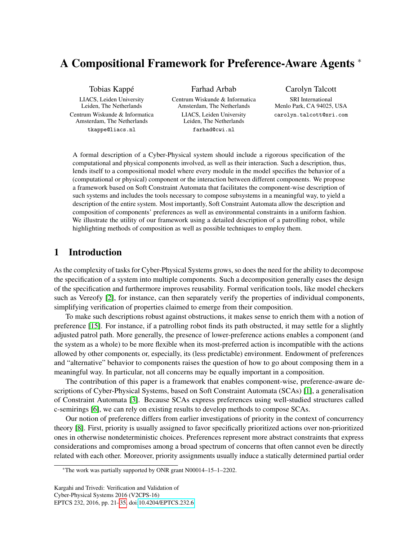# A Compositional Framework for Preference-Aware Agents <sup>∗</sup>

Tobias Kappé

LIACS, Leiden University Leiden, The Netherlands Centrum Wiskunde & Informatica Amsterdam, The Netherlands tkappe@liacs.nl

Farhad Arbab

Centrum Wiskunde & Informatica Amsterdam, The Netherlands LIACS, Leiden University Leiden, The Netherlands farhad@cwi.nl

Carolyn Talcott

SRI International Menlo Park, CA 94025, USA carolyn.talcott@sri.com

A formal description of a Cyber-Physical system should include a rigorous specification of the computational and physical components involved, as well as their interaction. Such a description, thus, lends itself to a compositional model where every module in the model specifies the behavior of a (computational or physical) component or the interaction between different components. We propose a framework based on Soft Constraint Automata that facilitates the component-wise description of such systems and includes the tools necessary to compose subsystems in a meaningful way, to yield a description of the entire system. Most importantly, Soft Constraint Automata allow the description and composition of components' preferences as well as environmental constraints in a uniform fashion. We illustrate the utility of our framework using a detailed description of a patrolling robot, while highlighting methods of composition as well as possible techniques to employ them.

# 1 Introduction

As the complexity of tasks for Cyber-Physical Systems grows, so does the need for the ability to decompose the specification of a system into multiple components. Such a decomposition generally eases the design of the specification and furthermore improves reusability. Formal verification tools, like model checkers such as Vereofy [\[2\]](#page-14-1), for instance, can then separately verify the properties of individual components, simplifying verification of properties claimed to emerge from their composition.

To make such descriptions robust against obstructions, it makes sense to enrich them with a notion of preference [\[15\]](#page-14-2). For instance, if a patrolling robot finds its path obstructed, it may settle for a slightly adjusted patrol path. More generally, the presence of lower-preference actions enables a component (and the system as a whole) to be more flexible when its most-preferred action is incompatible with the actions allowed by other components or, especially, its (less predictable) environment. Endowment of preferences and "alternative" behavior to components raises the question of how to go about composing them in a meaningful way. In particular, not all concerns may be equally important in a composition.

The contribution of this paper is a framework that enables component-wise, preference-aware descriptions of Cyber-Physical Systems, based on Soft Constraint Automata (SCAs) [\[1\]](#page-14-3), a generalisation of Constraint Automata [\[3\]](#page-14-4). Because SCAs express preferences using well-studied structures called c-semirings [\[6\]](#page-14-5), we can rely on existing results to develop methods to compose SCAs.

Our notion of preference differs from earlier investigations of priority in the context of concurrency theory [\[8\]](#page-14-6). First, priority is usually assigned to favor specifically prioritized actions over non-prioritized ones in otherwise nondeterministic choices. Preferences represent more abstract constraints that express considerations and compromises among a broad spectrum of concerns that often cannot even be directly related with each other. Moreover, priority assignments usually induce a statically determined partial order

<sup>∗</sup>The work was partially supported by ONR grant N00014–15–1–2202.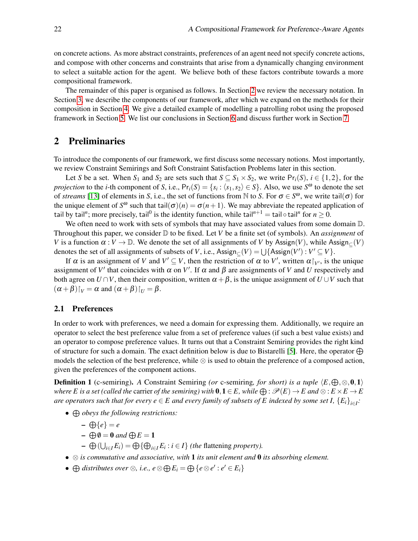on concrete actions. As more abstract constraints, preferences of an agent need not specify concrete actions, and compose with other concerns and constraints that arise from a dynamically changing environment to select a suitable action for the agent. We believe both of these factors contribute towards a more compositional framework.

The remainder of this paper is organised as follows. In Section [2](#page-1-0) we review the necessary notation. In Section [3,](#page-5-0) we describe the components of our framework, after which we expand on the methods for their composition in Section [4.](#page-6-0) We give a detailed example of modelling a patrolling robot using the proposed framework in Section [5.](#page-8-0) We list our conclusions in Section [6](#page-13-0) and discuss further work in Section [7.](#page-13-1)

### <span id="page-1-0"></span>2 Preliminaries

To introduce the components of our framework, we first discuss some necessary notions. Most importantly, we review Constraint Semirings and Soft Constraint Satisfaction Problems later in this section.

Let *S* be a set. When  $S_1$  and  $S_2$  are sets such that  $S \subseteq S_1 \times S_2$ , we write  $Pr_i(S)$ ,  $i \in \{1,2\}$ , for the *projection* to the *i*-th component of *S*, i.e.,  $Pr_i(S) = \{s_i : \langle s_1, s_2 \rangle \in S\}$ . Also, we use  $S^{\omega}$  to denote the set of *streams* [\[13\]](#page-14-7) of elements in *S*, i.e., the set of functions from N to *S*. For  $\sigma \in S^{\omega}$ , we write tail( $\sigma$ ) for the unique element of  $S^{\omega}$  such that tail $(\sigma)(n) = \sigma(n+1)$ . We may abbreviate the repeated application of tail by tail"; more precisely, tail $^0$  is the identity function, while tail $^{n+1}=$  tail  $\circ$  tail $^n$  for  $n\geq 0.$ 

We often need to work with sets of symbols that may have associated values from some domain  $D$ . Throughout this paper, we consider D to be fixed. Let *V* be a finite set (of symbols). An *assignment* of *V* is a function  $\alpha : V \to \mathbb{D}$ . We denote the set of all assignments of *V* by Assign(*V*), while Assign<sub>⊂</sub>(*V*) denotes the set of all assignments of subsets of *V*, i.e.,  $\text{Assign}_{\subseteq}(V) = \bigcup \{\text{Assign}(V') : V' \subseteq V\}$ .

If  $\alpha$  is an assignment of *V* and  $V' \subseteq V$ , then the restriction of  $\alpha$  to  $V'$ , written  $\alpha|_{V'}$ , is the unique assignment of *V'* that coincides with  $\alpha$  on *V'*. If  $\alpha$  and  $\beta$  are assignments of *V* and *U* respectively and both agree on  $U \cap V$ , then their composition, written  $\alpha + \beta$ , is the unique assignment of  $U \cup V$  such that  $(\alpha + \beta)$ *|v* =  $\alpha$  and  $(\alpha + \beta)$ *|v* =  $\beta$ .

#### 2.1 Preferences

In order to work with preferences, we need a domain for expressing them. Additionally, we require an operator to select the best preference value from a set of preference values (if such a best value exists) and an operator to compose preference values. It turns out that a Constraint Semiring provides the right kind of structure for such a domain. The exact definition below is due to Bistarelli [\[5\]](#page-14-8). Here, the operator  $\bigoplus$ models the selection of the best preference, while  $\otimes$  is used to obtain the preference of a composed action, given the preferences of the component actions.

**Definition 1** (c-semiring). *A* Constraint Semiring *(or* c-semiring, *for short)* is a tuple  $\langle E, \bigoplus, \otimes, \mathbf{0}, \mathbf{1} \rangle$ *where E* is a set (called the carrier of the semiring) with  $0, 1 \in E$ , while  $\bigoplus$  :  $\mathcal{P}(E) \to E$  and  $\otimes$  :  $E \times E \to E$ *are operators such that for every*  $e \in E$  *and every family of subsets of*  $E$  *indexed by some set I,*  $\{E_i\}_{i \in I}$ *:* 

- L *obeys the following restrictions:*
	- $-\bigoplus \{e\} = e$
	- $\bigoplus \emptyset = 0$  and  $\bigoplus E = 1$
	- $\rightarrow$  ⊕ ( $\bigcup_{i \in I} E_i$ ) = ⊕ {⊕<sub>*i*∈*I*</sub>  $E_i$  : *i* ∈ *I*} *(the flattening property).*
- ⊗ *is commutative and associative, with* 1 *its unit element and* 0 *its absorbing element.*
- $\bigoplus$  *distributes over*  $\otimes$ *, i.e., e*  $\otimes \bigoplus E_i = \bigoplus \{e \otimes e' : e' \in E_i\}$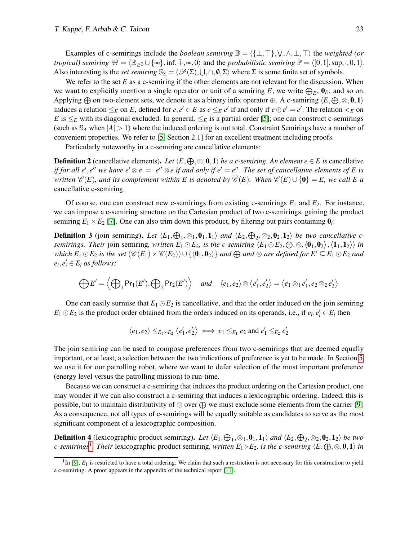Examples of c-semirings include the *boolean semiring*  $\mathbb{B} = \langle \{\bot, \top\}, \bigvee, \land, \bot, \top \rangle$  the *weighted (or tropical) semiring*  $W = \langle \mathbb{R}_{>0} \cup \{ \infty \}, \inf, \hat{+}, \infty, 0 \rangle$  and the *probabilistic semiring*  $\mathbb{P} = \langle [0,1], \sup, \cdot, 0, 1 \rangle$ . Also interesting is the *set semiring*  $\mathbb{S}_{\Sigma} = \langle \mathscr{P}(\Sigma), \bigcup, \cap, \emptyset, \Sigma \rangle$  where  $\Sigma$  is some finite set of symbols.

We refer to the set  $E$  as a c-semiring if the other elements are not relevant for the discussion. When we want to explicitly mention a single operator or unit of a semiring E, we write  $\bigoplus_E$ ,  $\mathbf{0}_E$ , and so on. Applying  $\oplus$  on two-element sets, we denote it as a binary infix operator  $\oplus$ . A c-semiring  $\langle E,\oplus,\otimes,0,1\rangle$ induces a relation  $\leq_E$  on *E*, defined for  $e, e' \in E$  as  $e \leq_E e'$  if and only if  $e \oplus e' = e'$ . The relation  $\leq_E$  on *E* is  $\leq_E$  with its diagonal excluded. In general,  $\leq_E$  is a partial order [\[5\]](#page-14-8); one can construct c-semirings (such as  $S_A$  when  $|A| > 1$ ) where the induced ordering is not total. Constraint Semirings have a number of convenient properties. We refer to [\[5,](#page-14-8) Section 2.1] for an excellent treatment including proofs.

Particularly noteworthy in a c-semiring are cancellative elements:

**Definition 2** (cancellative elements). Let  $\langle E, \bigoplus, \otimes, \mathbf{0}, \mathbf{1} \rangle$  *be a c-semiring. An element*  $e \in E$  *is* cancellative *if* for all e', e'' we have  $e' \otimes e = e'' \otimes e$  if and only if  $e' = e''$ . The set of cancellative elements of E is *written*  $\mathscr{C}(E)$ *, and its complement within E is denoted by*  $\overline{\mathscr{C}}(E)$ *. When*  $\mathscr{C}(E) \cup \{0\} = E$ *, we call E a* cancellative c-semiring.

Of course, one can construct new c-semirings from existing c-semirings  $E_1$  and  $E_2$ . For instance, we can impose a c-semiring structure on the Cartesian product of two c-semirings, gaining the product semiring  $E_1 \times E_2$  [\[7\]](#page-14-9). One can also trim down this product, by filtering out pairs containing  $\mathbf{0}_i$ :

**Definition 3** (join semiring). Let  $\langle E_1, \bigoplus_1, \otimes_1, \mathbf{0}_1, \mathbf{1}_1 \rangle$  and  $\langle E_2, \bigoplus_2, \otimes_2, \mathbf{0}_2, \mathbf{1}_2 \rangle$  be two cancellative csemirings. Their join semiring, written  $E_1 \odot E_2$ , is the c-semiring  $\langle E_1 \odot E_2, \bigoplus, \otimes, \langle \mathbf{0}_1,\mathbf{0}_2\rangle, \langle \mathbf{1}_1,\mathbf{1}_2\rangle\rangle$  in  $\forall$  which  $E_1 \odot E_2$  is the set  $(\mathscr{C}(E_1) \times \mathscr{C}(E_2)) \cup \{\langle \mathbf{0}_1, \mathbf{0}_2 \rangle\}$  and  $\bigoplus$  and  $\otimes$  are defined for  $E' \subseteq E_1 \odot E_2$  and  $e_i, e'_i \in E_i$  *as follows:* 

$$
\bigoplus E' = \left\langle \bigoplus_{1} \Pr_1(E'), \bigoplus_{2} \Pr_2(E') \right\rangle \quad \text{and} \quad \left\langle e_1, e_2 \right\rangle \otimes \left\langle e'_1, e'_2 \right\rangle = \left\langle e_1 \otimes_1 e'_1, e_2 \otimes_2 e'_2 \right\rangle
$$

One can easily surmise that  $E_1 \odot E_2$  is cancellative, and that the order induced on the join semiring  $E_1 \odot E_2$  is the product order obtained from the orders induced on its operands, i.e., if  $e_i, e'_i \in E_i$  then

$$
\langle e_1, e_2 \rangle \leq_{E_1 \odot E_2} \langle e_1', e_2' \rangle \iff e_1 \leq_{E_1} e_2 \text{ and } e_1' \leq_{E_2} e_2'
$$

The join semiring can be used to compose preferences from two c-semirings that are deemed equally important, or at least, a selection between the two indications of preference is yet to be made. In Section [5,](#page-8-0) we use it for our patrolling robot, where we want to defer selection of the most important preference (energy level versus the patrolling mission) to run-time.

Because we can construct a c-semiring that induces the product ordering on the Cartesian product, one may wonder if we can also construct a c-semiring that induces a lexicographic ordering. Indeed, this is possible, but to maintain distributivity of  $\otimes$  over  $\bigoplus$  we must exclude some elements from the carrier [\[9\]](#page-14-10). As a consequence, not all types of c-semirings will be equally suitable as candidates to serve as the most significant component of a lexicographic composition.

<span id="page-2-1"></span>**Definition 4** (lexicographic product semiring). Let  $\langle E_1, \bigoplus_1, \otimes_1, \mathbf{0}_1, \mathbf{1}_1 \rangle$  and  $\langle E_2, \bigoplus_2, \otimes_2, \mathbf{0}_2, \mathbf{1}_2 \rangle$  be two *c*-semirings<sup>[1](#page-2-0)</sup>. Their lexicographic product semiring, written  $E_1 \triangleright E_2$ , is the c-semiring  $\langle E,\bigoplus,\otimes,\mathbf{0},\mathbf{1}\rangle$  in

<span id="page-2-0"></span><sup>&</sup>lt;sup>1</sup>In [\[9\]](#page-14-10),  $E_1$  is restricted to have a total ordering. We claim that such a restriction is not necessary for this construction to yield a c-semiring. A proof appears in the appendix of the technical report [\[11\]](#page-14-11).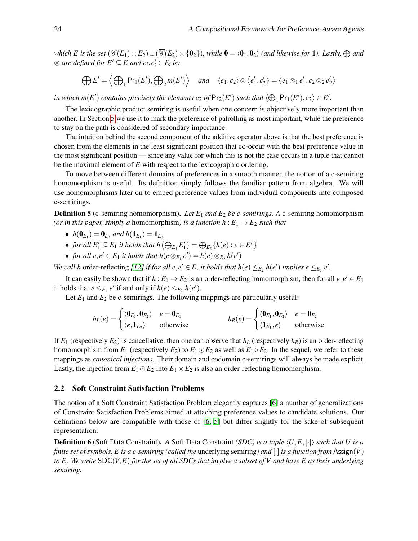*which E* is the set  $(\mathscr{C}(E_1) \times E_2) \cup (\overline{\mathscr{C}}(E_2) \times \{0_2\})$ , while  $0 = \langle 0_1, 0_2 \rangle$  *(and likewise for* 1*). Lastly,*  $\bigoplus$  *and*  $\otimes$  are defined for  $E' \subseteq E$  and  $e_i, e'_i \in E_i$  by

$$
\bigoplus E' = \left\langle \bigoplus_{1} \Pr_1(E'), \bigoplus_{2} m(E') \right\rangle \quad \text{and} \quad \left\langle e_1, e_2 \right\rangle \otimes \left\langle e'_1, e'_2 \right\rangle = \left\langle e_1 \otimes_1 e'_1, e_2 \otimes_2 e'_2 \right\rangle
$$

in which  $m(E')$  contains precisely the elements  $e_2$  of  $Pr_2(E')$  such that  $\langle \bigoplus_1 Pr_1(E'), e_2 \rangle \in E'.$ 

The lexicographic product semiring is useful when one concern is objectively more important than another. In Section [5](#page-8-0) we use it to mark the preference of patrolling as most important, while the preference to stay on the path is considered of secondary importance.

The intuition behind the second component of the additive operator above is that the best preference is chosen from the elements in the least significant position that co-occur with the best preference value in the most significant position — since any value for which this is not the case occurs in a tuple that cannot be the maximal element of *E* with respect to the lexicographic ordering.

To move between different domains of preferences in a smooth manner, the notion of a c-semiring homomorphism is useful. Its definition simply follows the familiar pattern from algebra. We will use homomorphisms later on to embed preference values from individual components into composed c-semirings.

**Definition 5** (c-semiring homomorphism). Let  $E_1$  and  $E_2$  be c-semirings. A c-semiring homomorphism *(or in this paper, simply a homomorphism) is a function*  $h: E_1 \rightarrow E_2$  *such that* 

- $h(\mathbf{0}_{E_1}) = \mathbf{0}_{E_2}$  and  $h(\mathbf{1}_{E_1}) = \mathbf{1}_{E_2}$
- *for all*  $E'_1 \subseteq E_1$  *it holds that*  $h(\bigoplus_{E_1} E'_1) = \bigoplus_{E_2} \{h(e) : e \in E'_1\}$
- *for all*  $e, e' \in E_1$  *it holds that*  $h(e \otimes_{E_1} e') = h(e) \otimes_{E_2} h(e')$

*We call h* order-reflecting [\[12\]](#page-14-12) *if for all e, e'*  $\in$  *E, it holds that h*(*e*)  $\leq_{E_2}$  *h*(*e'*) *implies e*  $\leq_{E_1}$  *e'.* 

It can easily be shown that if  $h: E_1 \to E_2$  is an order-reflecting homomorphism, then for all  $e, e' \in E_1$ it holds that  $e \leq_{E_1} e'$  if and only if  $h(e) \leq_{E_2} h(e')$ .

Let  $E_1$  and  $E_2$  be c-semirings. The following mappings are particularly useful:

$$
h_L(e) = \begin{cases} \langle \mathbf{0}_{E_1}, \mathbf{0}_{E_2} \rangle & e = \mathbf{0}_{E_1} \\ \langle e, \mathbf{1}_{E_2} \rangle & \text{otherwise} \end{cases} \qquad h_R(e) = \begin{cases} \langle \mathbf{0}_{E_1}, \mathbf{0}_{E_2} \rangle & e = \mathbf{0}_{E_2} \\ \langle \mathbf{1}_{E_1}, e \rangle & \text{otherwise} \end{cases}
$$

If  $E_1$  (respectively  $E_2$ ) is cancellative, then one can observe that  $h_L$  (respectively  $h_R$ ) is an order-reflecting homomorphism from  $E_1$  (respectively  $E_2$ ) to  $E_1 \odot E_2$  as well as  $E_1 \triangleright E_2$ . In the sequel, we refer to these mappings as *canonical injections*. Their domain and codomain c-semirings will always be made explicit. Lastly, the injection from  $E_1 \odot E_2$  into  $E_1 \times E_2$  is also an order-reflecting homomorphism.

### 2.2 Soft Constraint Satisfaction Problems

The notion of a Soft Constraint Satisfaction Problem elegantly captures [\[6\]](#page-14-5) a number of generalizations of Constraint Satisfaction Problems aimed at attaching preference values to candidate solutions. Our definitions below are compatible with those of [\[6,](#page-14-5) [5\]](#page-14-8) but differ slightly for the sake of subsequent representation.

**Definition 6** (Soft Data Constraint). A Soft Data Constraint *(SDC) is a tuple*  $\langle U, E, [\cdot] \rangle$  *such that U is a finite set of symbols, E is a c-semiring (called the* underlying semiring*) and* [·] *is a function from* Assign(*V*) *to E. We write* SDC(*V*,*E*) *for the set of all SDCs that involve a subset of V and have E as their underlying semiring.*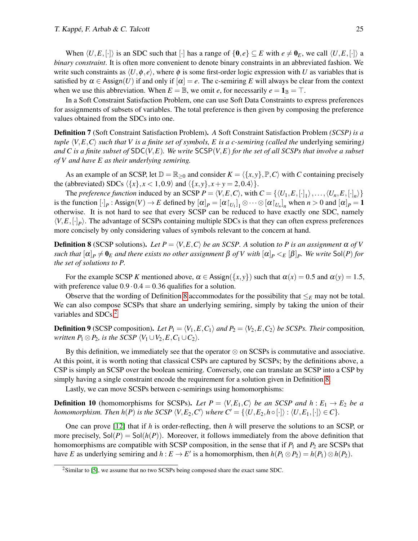When  $\langle U, E, [\cdot] \rangle$  is an SDC such that  $[\cdot]$  has a range of  $\{0, e\} \subseteq E$  with  $e \neq 0_E$ , we call  $\langle U, E, [\cdot] \rangle$  a *binary constraint*. It is often more convenient to denote binary constraints in an abbreviated fashion. We write such constraints as  $\langle U, \phi, e \rangle$ , where  $\phi$  is some first-order logic expression with *U* as variables that is satisfied by  $\alpha \in \text{Assign}(U)$  if and only if  $[\alpha] = e$ . The c-semiring E will always be clear from the context when we use this abbreviation. When  $E = \mathbb{B}$ , we omit *e*, for necessarily  $e = \mathbf{1}_{\mathbb{B}} = \top$ .

In a Soft Constraint Satisfaction Problem, one can use Soft Data Constraints to express preferences for assignments of subsets of variables. The total preference is then given by composing the preference values obtained from the SDCs into one.

Definition 7 (Soft Constraint Satisfaction Problem). *A* Soft Constraint Satisfaction Problem *(SCSP) is a tuple*  $\langle V, E, C \rangle$  *such that V is a finite set of symbols, E is a c-semiring (called the underlying semiring)* and C is a finite subset of  $SDC(V, E)$ . We write  $SCSP(V, E)$  for the set of all  $SCSPs$  that involve a subset *of V and have E as their underlying semiring.*

As an example of an SCSP, let  $\mathbb{D} = \mathbb{R}_{\geq 0}$  and consider  $K = \langle \{x, y\}, \mathbb{P}, C \rangle$  with *C* containing precisely the (abbreviated) SDCs  $\langle \{x\}, x < 1, 0.9 \rangle$  and  $\langle \{x, y\}, x + y = 2, 0.4 \rangle$ .

The *preference function* induced by an SCSP  $P = \langle V, E, C \rangle$ , with  $C = \{ \langle U_1, E, [\cdot]_1 \rangle, \dots, \langle U_n, E, [\cdot]_n \rangle \}$ is the function  $[\cdot]_P$ : Assign $(V) \to E$  defined by  $[\alpha]_P = [\alpha \upharpoonright_{U_1}]_1 \otimes \cdots \otimes [\alpha \upharpoonright_{U_n}]_n$  when  $n > 0$  and  $[\alpha]_P = 1$ otherwise. It is not hard to see that every SCSP can be reduced to have exactly one SDC, namely  $\langle V, E, [\cdot]_P \rangle$ . The advantage of SCSPs containing multiple SDCs is that they can often express preferences more concisely by only considering values of symbols relevant to the concern at hand.

<span id="page-4-0"></span>**Definition 8** (SCSP solutions). Let  $P = \langle V, E, C \rangle$  be an SCSP. A solution to P is an assignment  $\alpha$  of V  $s$ uch that  $[\alpha]_P\neq\pmb{0}_E$  and there exists no other assignment  $\beta$  of  $V$  with  $[\alpha]_P<_E[\beta]_P$ . We write  ${\sf Sol}(P)$  for *the set of solutions to P.*

For the example SCSP *K* mentioned above,  $\alpha \in \text{Assign}(\{x, y\})$  such that  $\alpha(x) = 0.5$  and  $\alpha(y) = 1.5$ , with preference value  $0.9 \cdot 0.4 = 0.36$  qualifies for a solution.

Observe that the wording of Definition [8](#page-4-0) accommodates for the possibility that  $\leq_E$  may not be total. We can also compose SCSPs that share an underlying semiring, simply by taking the union of their variables and SDCs.<sup>[2](#page-4-1)</sup>

**Definition 9** (SCSP composition). Let  $P_1 = \langle V_1, E, C_1 \rangle$  and  $P_2 = \langle V_2, E, C_2 \rangle$  be SCSPs. Their composition, *written*  $P_1 \otimes P_2$ *, is the SCSP*  $\langle V_1 \cup V_2, E, C_1 \cup C_2 \rangle$ *.* 

By this definition, we immediately see that the operator  $\otimes$  on SCSPs is commutative and associative. At this point, it is worth noting that classical CSPs are captured by SCSPs; by the definitions above, a CSP is simply an SCSP over the boolean semiring. Conversely, one can translate an SCSP into a CSP by simply having a single constraint encode the requirement for a solution given in Definition [8.](#page-4-0)

Lastly, we can move SCSPs between c-semirings using homomorphisms:

**Definition 10** (homomorphisms for SCSPs). Let  $P = \langle V, E_1, C \rangle$  be an SCSP and  $h : E_1 \rightarrow E_2$  be a *homomorphism. Then h*(*P*) *is the SCSP*  $\langle V, E_2, C' \rangle$  *where*  $C' = \{ \langle U, E_2, h \circ [\cdot] \rangle : \langle U, E_1, [\cdot] \rangle \in C \}.$ 

One can prove [\[12\]](#page-14-12) that if *h* is order-reflecting, then *h* will preserve the solutions to an SCSP, or more precisely,  $\text{Sol}(P) = \text{Sol}(h(P))$ . Moreover, it follows immediately from the above definition that homomorphisms are compatible with SCSP composition, in the sense that if  $P_1$  and  $P_2$  are SCSPs that have *E* as underlying semiring and  $h: E \to E'$  is a homomorphism, then  $h(P_1 \otimes P_2) = h(P_1) \otimes h(P_2)$ .

<span id="page-4-1"></span><sup>&</sup>lt;sup>2</sup>Similar to [\[5\]](#page-14-8), we assume that no two SCSPs being composed share the exact same SDC.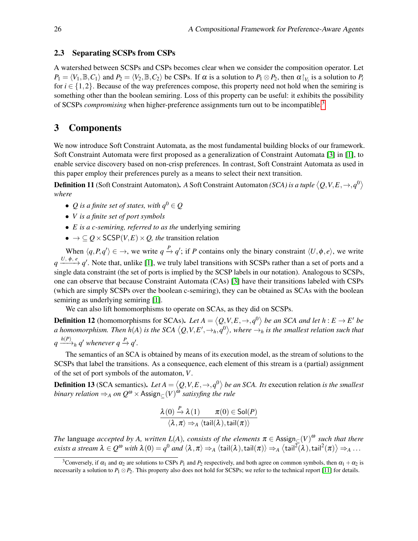#### <span id="page-5-3"></span>2.3 Separating SCSPs from CSPs

A watershed between SCSPs and CSPs becomes clear when we consider the composition operator. Let  $P_1 = \langle V_1, \mathbb{B}, C_1 \rangle$  and  $P_2 = \langle V_2, \mathbb{B}, C_2 \rangle$  be CSPs. If  $\alpha$  is a solution to  $P_1 \otimes P_2$ , then  $\alpha \upharpoonright_{V_i}$  is a solution to  $P_i$ for  $i \in \{1,2\}$ . Because of the way preferences compose, this property need not hold when the semiring is something other than the boolean semiring. Loss of this property can be useful: it exhibits the possibility of SCSPs *compromising* when higher-preference assignments turn out to be incompatible.[3](#page-5-1)

### <span id="page-5-0"></span>3 Components

We now introduce Soft Constraint Automata, as the most fundamental building blocks of our framework. Soft Constraint Automata were first proposed as a generalization of Constraint Automata [\[3\]](#page-14-4) in [\[1\]](#page-14-3), to enable service discovery based on non-crisp preferences. In contrast, Soft Constraint Automata as used in this paper employ their preferences purely as a means to select their next transition.

Definition 11 (Soft Constraint Automaton). *A* Soft Constraint Automaton *(SCA) is a tuple*  $\langle Q,V,E,\rightarrow,q^0\rangle$ *where*

- *Q* is a finite set of states, with  $q^0 \in Q$
- *V is a finite set of port symbols*
- *E is a c-semiring, referred to as the* underlying semiring
- $\bullet \rightarrow \subseteq Q \times \mathsf{SCSP}(V, E) \times Q$ , the transition relation

When  $\langle q, P, q' \rangle \in \rightarrow$ , we write  $q \stackrel{P}{\rightarrow} q'$ ; if *P* contains only the binary constraint  $\langle U, \phi, e \rangle$ , we write  $q \xrightarrow{U, \phi, e} q'$ . Note that, unlike [\[1\]](#page-14-3), we truly label transitions with SCSPs rather than a set of ports and a single data constraint (the set of ports is implied by the SCSP labels in our notation). Analogous to SCSPs, one can observe that because Constraint Automata (CAs) [\[3\]](#page-14-4) have their transitions labeled with CSPs (which are simply SCSPs over the boolean c-semiring), they can be obtained as SCAs with the boolean semiring as underlying semiring [\[1\]](#page-14-3).

We can also lift homomorphisms to operate on SCAs, as they did on SCSPs.

<span id="page-5-2"></span>**Definition 12** (homomorphisms for SCAs). Let  $A = \langle Q, V, E, \to, q^0 \rangle$  be an SCA and let  $h : E \to E'$  be a homomorphism. Then h(A) is the SCA  $\langle Q,V,E',\to_h,q^0\rangle$ , where  $\to_h$  is the smallest relation such that  $q \xrightarrow{h(P)} h q'$  whenever  $q \xrightarrow{P} q'.$ 

The semantics of an SCA is obtained by means of its execution model, as the stream of solutions to the SCSPs that label the transitions. As a consequence, each element of this stream is a (partial) assignment of the set of port symbols of the automaton, *V*.

**Definition 13** (SCA semantics). Let  $A = \langle Q, V, E, \to, q^0 \rangle$  be an SCA. Its execution relation *is the smallest binary relation*  $\Rightarrow_A$  *on*  $Q^{\omega} \times$  Assign<sub>⊆</sub> $(V)^{\omega}$  *satisyfing the rule* 

$$
\frac{\lambda(0)}{\langle \lambda, \pi \rangle \Rightarrow_A \langle \mathsf{tail}(\lambda), \mathsf{tail}(\pi) \rangle}
$$

*The* language *accepted by A, written*  $L(A)$ *, consists of the elements*  $\pi \in$  Assign<sub>⊆</sub>(*V*)<sup> $\omega$ </sup> *such that there*  $e\textrm{xists }a\textrm{ stream }\lambda\in\mathcal{Q}^\omega\textrm{ with }\lambda(0)=q^0\textrm{ and }\langle\lambda,\pi\rangle{\Rightarrow_A}\langle\textrm{tail}(\lambda),\textrm{tail}(\pi)\rangle{\Rightarrow_A}\langle\textrm{tail}^{\mathcal{I}}(\lambda),\textrm{tail}^2(\pi)\rangle{\Rightarrow_A\dots}$ 

<span id="page-5-1"></span><sup>&</sup>lt;sup>3</sup>Conversely, if  $\alpha_1$  and  $\alpha_2$  are solutions to CSPs  $P_1$  and  $P_2$  respectively, and both agree on common symbols, then  $\alpha_1 + \alpha_2$  is necessarily a solution to  $P_1 \otimes P_2$ . This property also does not hold for SCSPs; we refer to the technical report [\[11\]](#page-14-11) for details.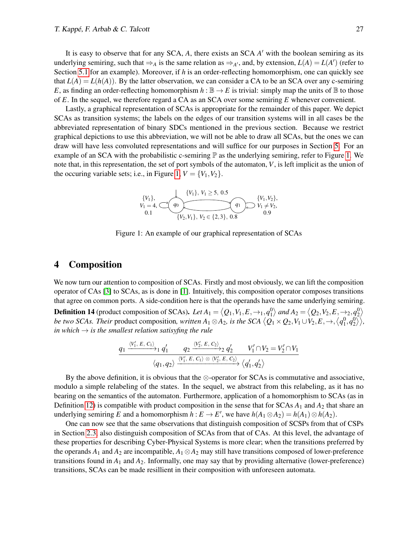It is easy to observe that for any SCA, A, there exists an SCA A' with the boolean semiring as its underlying semiring, such that  $\Rightarrow_A$  is the same relation as  $\Rightarrow_{A'}$ , and, by extension,  $L(A) = L(A')$  (refer to Section [5.1](#page-8-1) for an example). Moreover, if *h* is an order-reflecting homomorphism, one can quickly see that  $L(A) = L(h(A))$ . By the latter observation, we can consider a CA to be an SCA over any c-semiring *E*, as finding an order-reflecting homomorphism  $h : \mathbb{B} \to E$  is trivial: simply map the units of  $\mathbb{B}$  to those of *E*. In the sequel, we therefore regard a CA as an SCA over some semiring *E* whenever convenient.

<span id="page-6-1"></span>Lastly, a graphical representation of SCAs is appropriate for the remainder of this paper. We depict SCAs as transition systems; the labels on the edges of our transition systems will in all cases be the abbreviated representation of binary SDCs mentioned in the previous section. Because we restrict graphical depictions to use this abbreviation, we will not be able to draw all SCAs, but the ones we can draw will have less convoluted representations and will suffice for our purposes in Section [5.](#page-8-0) For an example of an SCA with the probabilistic c-semiring  $\mathbb P$  as the underlying semiring, refer to Figure [1.](#page-6-1) We note that, in this representation, the set of port symbols of the automaton, *V*, is left implicit as the union of the occuring variable sets; i.e., in Figure [1,](#page-6-1)  $V = \{V_1, V_2\}$ .

$$
\{V_1\},\nV_1 = 4,\n\begin{array}{c}\n\{V_1\}, V_1 \geq 5, 0.5 \\
V_1 = 4, \quad Q_0\n\end{array}\n\quad\n\begin{array}{c}\n\{V_1, V_2\}, \\
\{V_2, V_1\}, V_2 \in \{2, 3\}, 0.8\n\end{array}\n\quad\n\begin{array}{c}\n\{V_1, V_2\}, \\
0.9\n\end{array}
$$

Figure 1: An example of our graphical representation of SCAs

# <span id="page-6-0"></span>4 Composition

<span id="page-6-2"></span>We now turn our attention to composition of SCAs. Firstly and most obviously, we can lift the composition operator of CAs [\[3\]](#page-14-4) to SCAs, as is done in [\[1\]](#page-14-3). Intuitively, this composition operator composes transitions that agree on common ports. A side-condition here is that the operands have the same underlying semiring. **Definition 14** (product composition of SCAs). Let  $A_1 = \langle Q_1, V_1, E, \to_1, q_1^0 \rangle$  and  $A_2 = \langle Q_2, V_2, E, \to_2, q_2^0 \rangle$ *be two SCAs. Their product composition, written*  $A_1\otimes A_2$ *, is the SCA*  $\big\langle Q_1\times Q_2,V_1\cup V_2,E,\to, \big\langle q_1^0,q_2^0\big\rangle\big\rangle,$ *in which*  $\rightarrow$  *is the smallest relation satisyfing the rule* 

$$
\frac{q_1 \xrightarrow{\langle V_1', E, C_1 \rangle} q_1' \qquad q_2 \xrightarrow{\langle V_2', E, C_2 \rangle} q_2' \qquad V_1' \cap V_2 = V_2' \cap V_1}{\langle q_1, q_2 \rangle \xrightarrow{\langle V_1', E, C_1 \rangle \otimes \langle V_2', E, C_2 \rangle} \langle q_1', q_2' \rangle}
$$

By the above definition, it is obvious that the  $\otimes$ -operator for SCAs is commutative and associative, modulo a simple relabeling of the states. In the sequel, we abstract from this relabeling, as it has no bearing on the semantics of the automaton. Furthermore, application of a homomorphism to SCAs (as in Definition [12\)](#page-5-2) is compatible with product composition in the sense that for SCAs  $A_1$  and  $A_2$  that share an underlying semiring *E* and a homomorphism  $h : E \to E'$ , we have  $h(A_1 \otimes A_2) = h(A_1) \otimes h(A_2)$ .

One can now see that the same observations that distinguish composition of SCSPs from that of CSPs in Section [2.3,](#page-5-3) also distinguish composition of SCAs from that of CAs. At this level, the advantage of these properties for describing Cyber-Physical Systems is more clear; when the transitions preferred by the operands  $A_1$  and  $A_2$  are incompatible,  $A_1 \otimes A_2$  may still have transitions composed of lower-preference transitions found in *A*<sup>1</sup> and *A*2. Informally, one may say that by providing alternative (lower-preference) transitions, SCAs can be made resillient in their composition with unforeseen automata.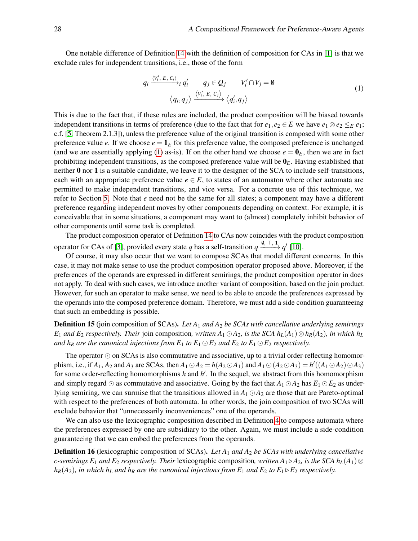One notable difference of Definition [14](#page-6-2) with the definition of composition for CAs in [\[1\]](#page-14-3) is that we exclude rules for independent transitions, i.e., those of the form

<span id="page-7-0"></span>
$$
\frac{q_i \xrightarrow{\langle V'_i, E, C_i \rangle} q'_i \qquad q_j \in Q_j \qquad V'_i \cap V_j = \emptyset}{\langle q_i, q_j \rangle \xrightarrow{\langle V'_i, E, C_j \rangle} \langle q'_i, q_j \rangle} \tag{1}
$$

This is due to the fact that, if these rules are included, the product composition will be biased towards independent transitions in terms of preference (due to the fact that for  $e_1, e_2 \in E$  we have  $e_1 \otimes e_2 \leq_E e_1$ ; c.f. [\[5,](#page-14-8) Theorem 2.1.3]), unless the preference value of the original transition is composed with some other preference value *e*. If we choose  $e = \mathbf{1}_E$  for this preference value, the composed preference is unchanged (and we are essentially applying [\(1\)](#page-7-0) as-is). If on the other hand we choose  $e = \mathbf{0}_E$ , then we are in fact prohibiting independent transitions, as the composed preference value will be 0*E*. Having established that neither 0 nor 1 is a suitable candidate, we leave it to the designer of the SCA to include self-transitions, each with an appropriate preference value  $e \in E$ , to states of an automaton where other automata are permitted to make independent transitions, and vice versa. For a concrete use of this technique, we refer to Section [5.](#page-8-0) Note that *e* need not be the same for all states; a component may have a different preference regarding independent moves by other components depending on context. For example, it is conceivable that in some situations, a component may want to (almost) completely inhibit behavior of other components until some task is completed.

The product composition operator of Definition [14](#page-6-2) to CAs now coincides with the product composition operator for CAs of [\[3\]](#page-14-4), provided every state *q* has a self-transition  $q \xrightarrow{\emptyset, \top, \mathbf{1}} q'$  [\[10\]](#page-14-13).

Of course, it may also occur that we want to compose SCAs that model different concerns. In this case, it may not make sense to use the product composition operator proposed above. Moreover, if the preferences of the operands are expressed in different semirings, the product composition operator in does not apply. To deal with such cases, we introduce another variant of composition, based on the join product. However, for such an operator to make sense, we need to be able to encode the preferences expressed by the operands into the composed preference domain. Therefore, we must add a side condition guaranteeing that such an embedding is possible.

Definition 15 (join composition of SCAs). *Let A*<sup>1</sup> *and A*<sup>2</sup> *be SCAs with cancellative underlying semirings E*<sub>1</sub> and *E*<sub>2</sub> *respectively. Their* join composition, written  $A_1$  ⊙ $A_2$ , *is the SCA*  $h$ <sub>*L*</sub>( $A_1$ )⊗ $h$ <sub>*R*</sub>( $A_2$ )*, in which*  $h$ <sub>*L*</sub> *and h<sub>R</sub> are the canonical injections from*  $E_1$  *to*  $E_1 \odot E_2$  *and*  $E_2$  *to*  $E_1 \odot E_2$  *respectively.* 

The operator  $\odot$  on SCAs is also commutative and associative, up to a trivial order-reflecting homomorphism, i.e., if  $A_1$ ,  $A_2$  and  $A_3$  are SCAs, then  $A_1 \odot A_2 = h(A_2 \odot A_1)$  and  $A_1 \odot (A_2 \odot A_3) = h'((A_1 \odot A_2) \odot A_3)$ for some order-reflecting homomorphisms  $h$  and  $h'$ . In the sequel, we abstract from this homomorphism and simply regard  $\odot$  as commutative and associative. Going by the fact that  $A_1 \odot A_2$  has  $E_1 \odot E_2$  as underlying semiring, we can surmise that the transitions allowed in  $A_1 \odot A_2$  are those that are Pareto-optimal with respect to the preferences of both automata. In other words, the join composition of two SCAs will exclude behavior that "unnecessarily inconveniences" one of the operands.

We can also use the lexicographic composition described in Definition [4](#page-2-1) to compose automata where the preferences expressed by one are subsidiary to the other. Again, we must include a side-condition guaranteeing that we can embed the preferences from the operands.

Definition 16 (lexicographic composition of SCAs). *Let A*<sup>1</sup> *and A*<sup>2</sup> *be SCAs with underlying cancellative c*-semirings  $E_1$  and  $E_2$  respectively. Their lexicographic composition, written  $A_1 \triangleright A_2$ , is the SCA  $h_L(A_1) \otimes$  $h_R(A_2)$ *, in which h<sub>L</sub> and h<sub>R</sub> are the canonical injections from E<sub>1</sub> and E<sub>2</sub> <i>to E<sub>1</sub>*  $\triangleright E_2$  *respectively.*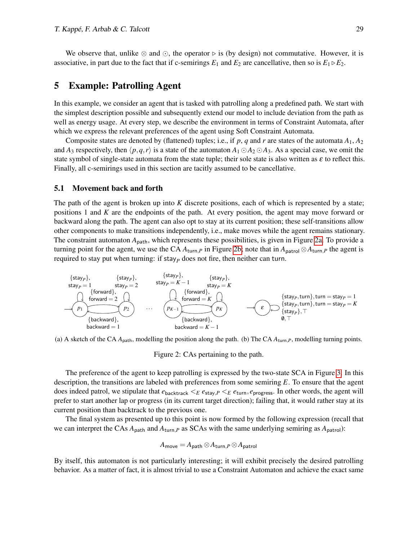We observe that, unlike  $\otimes$  and  $\odot$ , the operator  $\triangleright$  is (by design) not commutative. However, it is associative, in part due to the fact that if c-semirings  $E_1$  and  $E_2$  are cancellative, then so is  $E_1 \triangleright E_2$ .

### <span id="page-8-0"></span>5 Example: Patrolling Agent

In this example, we consider an agent that is tasked with patrolling along a predefined path. We start with the simplest description possible and subsequently extend our model to include deviation from the path as well as energy usage. At every step, we describe the environment in terms of Constraint Automata, after which we express the relevant preferences of the agent using Soft Constraint Automata.

Composite states are denoted by (flattened) tuples; i.e., if p, q and r are states of the automata  $A_1$ ,  $A_2$ and  $A_3$  respectively, then  $\langle p, q, r \rangle$  is a state of the automaton  $A_1 \odot A_2 \odot A_3$ . As a special case, we omit the state symbol of single-state automata from the state tuple; their sole state is also written as  $\varepsilon$  to reflect this. Finally, all c-semirings used in this section are tacitly assumed to be cancellative.

#### <span id="page-8-1"></span>5.1 Movement back and forth

The path of the agent is broken up into *K* discrete positions, each of which is represented by a state; positions 1 and *K* are the endpoints of the path. At every position, the agent may move forward or backward along the path. The agent can also opt to stay at its current position; these self-transitions allow other components to make transitions independently, i.e., make moves while the agent remains stationary. The constraint automaton  $A_{\text{path}}$ , which represents these possibilities, is given in Figure [2a.](#page-8-2) To provide a turning point for the agent, we use the CA  $A_{\text{turn},P}$  in Figure [2b;](#page-8-2) note that in  $A_{\text{patch}} \otimes A_{\text{turn},P}$  the agent is required to stay put when turning: if  $stay<sub>P</sub>$  does not fire, then neither can turn.

<span id="page-8-2"></span>
$$
\begin{array}{ll}\n\{\text{stay}_P\}, & \{\text{stay}_P\}, & \{\text{stay}_P\}, \\
\text{stay}_P = 1 & \text{stay}_P = K - 1 & \text{stay}_P = K \\
\{\text{forward}\}, & \{\text{forward}\}, \\
\hline\n\end{array}\n\quad\n\begin{array}{ll}\n\{\text{stay}_P\}, & \{\text{stay}_P\}, \\
\text{stay}_P = K - 1 & \text{stay}_P = K \\
\{\text{forward} = 2 \\\\ \{\text{forward}\}, \\
\{\text{backward}\}, \\
\text{backward} = 1\n\end{array}\n\quad\n\begin{array}{ll}\n\{\text{forward}\}, \\
\text{forward} = K \\\\ \text{backward} = K - 1\n\end{array}\n\quad\n\begin{array}{ll}\n\{\text{stay}_P, \text{turn}\}, \text{turn} = \text{stay}_P = 1 \\
\{\text{stay}_P, \text{turn}\}, \text{turn} = \text{stay}_P = K \\
\{\text{stay}_P\}, \text{run}\}, \\
\text{boxward} = K - 1\n\end{array}
$$

(a) A sketch of the CA  $A_{path}$ , modelling the position along the path. (b) The CA  $A_{turn,P}$ , modelling turning points.

Figure 2: CAs pertaining to the path.

The preference of the agent to keep patrolling is expressed by the two-state SCA in Figure [3.](#page-9-0) In this description, the transitions are labeled with preferences from some semiring *E*. To ensure that the agent does indeed patrol, we stipulate that  $e_{\text{backtrack}} \leq_E e_{\text{stay},P} \leq_E e_{\text{turn}}, e_{\text{progress}}$ . In other words, the agent will prefer to start another lap or progress (in its current target direction); failing that, it would rather stay at its current position than backtrack to the previous one.

The final system as presented up to this point is now formed by the following expression (recall that we can interpret the CAs  $A_{path}$  and  $A_{turn,P}$  as SCAs with the same underlying semiring as  $A_{patch}$ ):

$$
A_{\mathsf{move}} = A_{\mathsf{path}} \otimes A_{\mathsf{turn},P} \otimes A_{\mathsf{patch}}
$$

By itself, this automaton is not particularly interesting; it will exhibit precisely the desired patrolling behavior. As a matter of fact, it is almost trivial to use a Constraint Automaton and achieve the exact same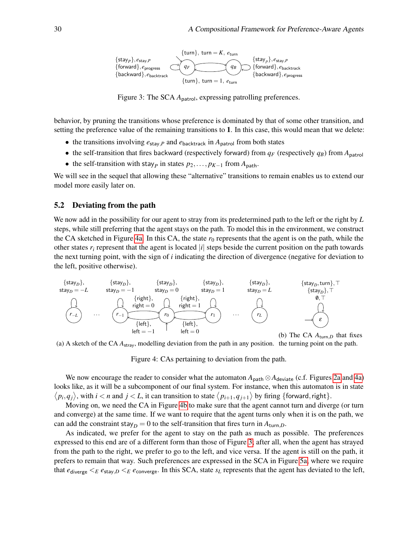<span id="page-9-0"></span>

Figure 3: The SCA *A*<sub>patrol</sub>, expressing patrolling preferences.

behavior, by pruning the transitions whose preference is dominated by that of some other transition, and setting the preference value of the remaining transitions to 1. In this case, this would mean that we delete:

- the transitions involving  $e_{\text{stay},P}$  and  $e_{\text{backtrack}}$  in  $A_{\text{patch}}$  from both states
- the self-transition that fires backward (respectively forward) from  $q_F$  (respectively  $q_B$ ) from  $A_{\text{partol}}$
- the self-transition with stay<sub>*P*</sub> in states  $p_2, \ldots, p_{K-1}$  from  $A_{\text{path}}$ .

We will see in the sequel that allowing these "alternative" transitions to remain enables us to extend our model more easily later on.

#### 5.2 Deviating from the path

We now add in the possibility for our agent to stray from its predetermined path to the left or the right by *L* steps, while still preferring that the agent stays on the path. To model this in the environment, we construct the CA sketched in Figure [4a.](#page-9-1) In this CA, the state  $r_0$  represents that the agent is on the path, while the other states  $r_i$  represent that the agent is located  $|i|$  steps beside the current position on the path towards the next turning point, with the sign of *i* indicating the direction of divergence (negative for deviation to the left, positive otherwise).

<span id="page-9-1"></span>

(a) A sketch of the CA *A*stray, modelling deviation from the path in any position. the turning point on the path.

Figure 4: CAs pertaining to deviation from the path.

We now encourage the reader to consider what the automaton  $A_{\text{path}} \otimes A_{\text{deviate}}$  (c.f. Figures [2a](#page-8-2) and [4a\)](#page-9-1) looks like, as it will be a subcomponent of our final system. For instance, when this automaton is in state  $\langle p_i, q_j \rangle$ , with  $i < n$  and  $j < L$ , it can transition to state  $\langle p_{i+1}, q_{j+1} \rangle$  by firing {forward, right}.

Moving on, we need the CA in Figure [4b](#page-9-1) to make sure that the agent cannot turn and diverge (or turn and converge) at the same time. If we want to require that the agent turns only when it is on the path, we can add the constraint stay<sub>D</sub> = 0 to the self-transition that fires turn in  $A_{\text{turn},D}$ .

As indicated, we prefer for the agent to stay on the path as much as possible. The preferences expressed to this end are of a different form than those of Figure [3;](#page-9-0) after all, when the agent has strayed from the path to the right, we prefer to go to the left, and vice versa. If the agent is still on the path, it prefers to remain that way. Such preferences are expressed in the SCA in Figure [5a,](#page-10-0) where we require that  $e_{\text{diverge}} \leq_E e_{\text{stay},D} \leq_E e_{\text{converge}}$ . In this SCA, state  $s_L$  represents that the agent has deviated to the left,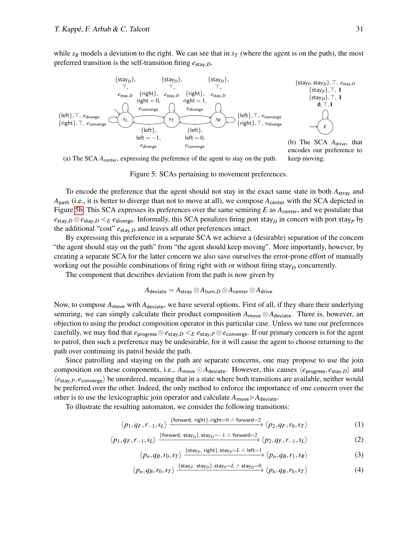while  $s_R$  models a deviation to the right. We can see that in  $s_T$  (where the agent is on the path), the most preferred transition is the self-transition firing  $e_{\text{stay},D}$ .

<span id="page-10-0"></span>

(a) The SCA *A*center, expressing the preference of the agent to stay on the path. keep moving.

Figure 5: SCAs pertaining to movement preferences.

To encode the preference that the agent should not stay in the exact same state in both *A*stray and *A*<sub>path</sub> (i.e., it is better to diverge than not to move at all), we compose  $A_{\text{center}}$  with the SCA depicted in Figure [5b.](#page-10-0) This SCA expresses its preferences over the same semiring *E* as *A*center, and we postulate that  $e_{\text{stay},D} \otimes e_{\text{stay},D} \leq_{E} e_{\text{diverge}}$ . Informally, this SCA penalizes firing port stay<sub>*D*</sub> in concert with port stay<sub>*P*</sub> by the additional "cost"  $e_{\text{stay},D}$  and leaves all other preferences intact.

By expressing this preference in a separate SCA we achieve a (desirable) separation of the concern "the agent should stay on the path" from "the agent should keep moving". More importantly, however, by creating a separate SCA for the latter concern we also save ourselves the error-prone effort of manually working out the possible combinations of firing right with or without firing stay<sub>D</sub> concurrently.

The component that describes deviation from the path is now given by

$$
A_{\rm deviate}=A_{\rm stray}\mathop{\otimes} A_{\rm turn, D}\mathop{\otimes} A_{\rm center}\mathop{\otimes} A_{\rm drive}
$$

Now, to compose  $A_{\text{move}}$  with  $A_{\text{deviate}}$ , we have several options. First of all, if they share their underlying semiring, we can simply calculate their product composition  $A_{\text{move}} \otimes A_{\text{deviate}}$ . There is, however, an objection to using the product composition operator in this particular case. Unless we tune our preferences carefully, we may find that  $e_{\text{progress}} \otimes e_{\text{stay},D} \leq e_{\text{stay},P} \otimes e_{\text{converge}}$ . If our primary concern is for the agent to patrol, then such a preference may be undesirable, for it will cause the agent to choose returning to the path over continuing its patrol beside the path.

Since patrolling and staying on the path are separate concerns, one may propose to use the join composition on these components, i.e.,  $A_{move} \odot A_{deviate}$ . However, this causes  $\langle e_{progress}, e_{stay,D} \rangle$  and  $\langle e_{\text{stay},P}, e_{\text{converge}} \rangle$  be unordered, meaning that in a state where both transitions are available, neither would be preferred over the other. Indeed, the only method to enforce the importance of one concern over the other is to use the lexicographic join operator and calculate  $A_{\text{move}} \triangleright A_{\text{deviate}}$ .

To illustrate the resulting automaton, we consider the following transitions:

$$
\langle p_1, q_F, r_{-1}, s_L \rangle \xrightarrow{\text{forward, right}, \text{right} = 0 \land \text{forward} = 2} \langle p_2, q_F, r_0, s_T \rangle \tag{1}
$$

$$
\langle p_1, q_F, r_{-1}, s_L \rangle \xrightarrow{\{\text{forward, stay}_D\}, \text{stay}_D = -1 \land \text{forward} = 2} \langle p_2, q_F, r_{-1}, s_L \rangle \tag{2}
$$

<span id="page-10-4"></span><span id="page-10-3"></span><span id="page-10-2"></span><span id="page-10-1"></span>
$$
\langle p_n, q_B, r_0, s_T \rangle \xrightarrow{\{\text{stay}_P, \text{ right}\}, \text{stay}_P = L \land \text{ left}=1} \langle p_n, q_B, r_1, s_R \rangle \tag{3}
$$

$$
\langle p_n, q_B, r_0, s_T \rangle \xrightarrow{\{\text{stay}_p, \text{stay}_D\}, \text{stay}_P = L \land \text{stay}_D = 0} \langle p_n, q_B, r_0, s_T \rangle \tag{4}
$$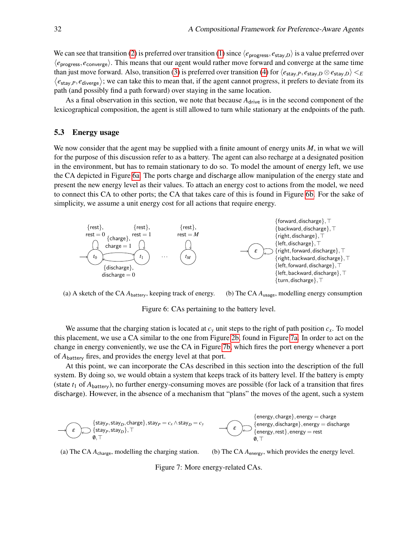We can see that transition [\(2\)](#page-10-1) is preferred over transition [\(1\)](#page-10-2) since  $\langle e_{\text{progress}}, e_{\text{stay},D} \rangle$  is a value preferred over  $\langle e_{\text{progress}}, e_{\text{converge}}\rangle$ . This means that our agent would rather move forward and converge at the same time than just move forward. Also, transition [\(3\)](#page-10-3) is preferred over transition [\(4\)](#page-10-4) for  $\langle e_{\text{stay},P}, e_{\text{stay},D} \otimes e_{\text{stay},D} \rangle \langle E|$  $\langle e_{\text{stay},P}, e_{\text{diverge}}\rangle$ ; we can take this to mean that, if the agent cannot progress, it prefers to deviate from its path (and possibly find a path forward) over staying in the same location.

As a final observation in this section, we note that because  $A<sub>drive</sub>$  is in the second component of the lexicographical composition, the agent is still allowed to turn while stationary at the endpoints of the path.

#### 5.3 Energy usage

We now consider that the agent may be supplied with a finite amount of energy units *M*, in what we will for the purpose of this discussion refer to as a battery. The agent can also recharge at a designated position in the environment, but has to remain stationary to do so. To model the amount of energy left, we use the CA depicted in Figure [6a.](#page-11-0) The ports charge and discharge allow manipulation of the energy state and present the new energy level as their values. To attach an energy cost to actions from the model, we need to connect this CA to other ports; the CA that takes care of this is found in Figure [6b.](#page-11-0) For the sake of simplicity, we assume a unit energy cost for all actions that require energy.

<span id="page-11-0"></span>



Figure 6: CAs pertaining to the battery level.

We assume that the charging station is located at  $c<sub>y</sub>$  unit steps to the right of path position  $c<sub>x</sub>$ . To model this placement, we use a CA similar to the one from Figure [2b,](#page-8-2) found in Figure [7a.](#page-11-1) In order to act on the change in energy conveniently, we use the CA in Figure [7b,](#page-11-1) which fires the port energy whenever a port of *A*battery fires, and provides the energy level at that port.

At this point, we can incorporate the CAs described in this section into the description of the full system. By doing so, we would obtain a system that keeps track of its battery level. If the battery is empty (state  $t_1$  of  $A_{\text{battery}}$ ), no further energy-consuming moves are possible (for lack of a transition that fires discharge). However, in the absence of a mechanism that "plans" the moves of the agent, such a system

<span id="page-11-1"></span>

(a) The CA  $A_{\text{charge}}$ , modelling the charging station.

(b) The CA *A*energy, which provides the energy level.

Figure 7: More energy-related CAs.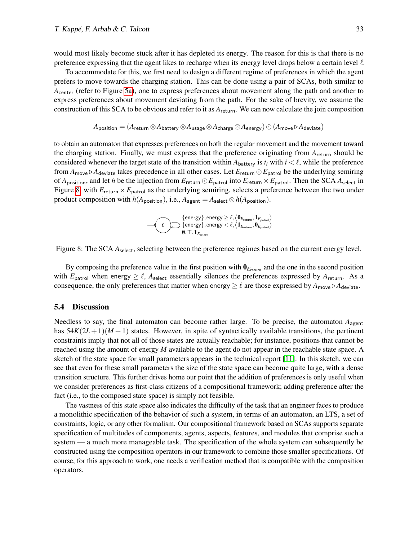would most likely become stuck after it has depleted its energy. The reason for this is that there is no preference expressing that the agent likes to recharge when its energy level drops below a certain level  $\ell$ .

To accommodate for this, we first need to design a different regime of preferences in which the agent prefers to move towards the charging station. This can be done using a pair of SCAs, both similar to *A*center (refer to Figure [5a\)](#page-10-0), one to express preferences about movement along the path and another to express preferences about movement deviating from the path. For the sake of brevity, we assume the construction of this SCA to be obvious and refer to it as *A*return. We can now calculate the join composition

$$
A_{\text{position}} = (A_{\text{return}} \otimes A_{\text{battery}} \otimes A_{\text{usage}} \otimes A_{\text{charge}} \otimes A_{\text{energy}}) \odot (A_{\text{move}} \triangleright A_{\text{deviate}})
$$

to obtain an automaton that expresses preferences on both the regular movement and the movement toward the charging station. Finally, we must express that the preference originating from *A*return should be considered whenever the target state of the transition within  $A_{\text{battery}}$  is  $t_i$  with  $i < \ell$ , while the preference from  $A_{move} \triangleright A_{deviate}$  takes precedence in all other cases. Let  $E_{return} \odot E_{patch}$  be the underlying semiring of  $A_{\text{position}}$ , and let *h* be the injection from  $E_{\text{return}} \odot E_{\text{patrol}}$  into  $E_{\text{return}} \times E_{\text{patrol}}$ . Then the SCA  $A_{\text{select}}$  in Figure [8,](#page-12-0) with  $E_{\text{return}} \times E_{\text{patch}}$  as the underlying semiring, selects a preference between the two under product composition with  $h(A_{\text{position}})$ , i.e.,  $A_{\text{agent}} = A_{\text{select}} \otimes h(A_{\text{position}})$ .

$$
\begin{matrix}\text{ \{energy\}}, \text{energy} \geq \ell, \big\langle \mathbf{0}_{E_{\text{return}}}, \mathbf{1}_{E_{\text{patch}}} \big\rangle \\ \text{ \{energy\}}, \text{energy} < \ell, \big\langle \mathbf{1}_{E_{\text{return}}}, \mathbf{0}_{E_{\text{patch}}} \big\rangle \\ \text{ \quad \ \ 0}, \top, \mathbf{1}_{E_{\text{select}}} \end{matrix}
$$

<span id="page-12-0"></span>Figure 8: The SCA  $A_{select}$ , selecting between the preference regimes based on the current energy level.

By composing the preference value in the first position with  $\mathbf{0}_{E_{return}}$  and the one in the second position with  $E_{\text{patch}}$  when energy  $\geq \ell$ ,  $A_{\text{select}}$  essentially silences the preferences expressed by  $A_{\text{return}}$ . As a consequence, the only preferences that matter when energy  $\geq \ell$  are those expressed by  $A_{\text{move}} \triangleright A_{\text{deviate}}$ .

#### 5.4 Discussion

Needless to say, the final automaton can become rather large. To be precise, the automaton  $A<sub>agent</sub>$ has  $54K(2L+1)(M+1)$  states. However, in spite of syntactically available transitions, the pertinent constraints imply that not all of those states are actually reachable; for instance, positions that cannot be reached using the amount of energy *M* available to the agent do not appear in the reachable state space. A sketch of the state space for small parameters appears in the technical report [\[11\]](#page-14-11). In this sketch, we can see that even for these small parameters the size of the state space can become quite large, with a dense transition structure. This further drives home our point that the addition of preferences is only useful when we consider preferences as first-class citizens of a compositional framework; adding preference after the fact (i.e., to the composed state space) is simply not feasible.

The vastness of this state space also indicates the difficulty of the task that an engineer faces to produce a monolithic specification of the behavior of such a system, in terms of an automaton, an LTS, a set of constraints, logic, or any other formalism. Our compositional framework based on SCAs supports separate specification of multitudes of components, agents, aspects, features, and modules that comprise such a system — a much more manageable task. The specification of the whole system can subsequently be constructed using the composition operators in our framework to combine those smaller specifications. Of course, for this approach to work, one needs a verification method that is compatible with the composition operators.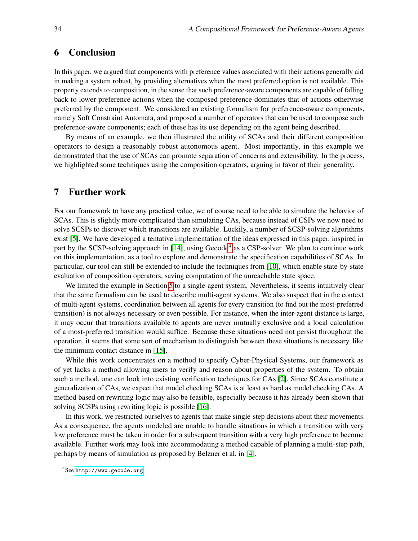# <span id="page-13-0"></span>6 Conclusion

In this paper, we argued that components with preference values associated with their actions generally aid in making a system robust, by providing alternatives when the most preferred option is not available. This property extends to composition, in the sense that such preference-aware components are capable of falling back to lower-preference actions when the composed preference dominates that of actions otherwise preferred by the component. We considered an existing formalism for preference-aware components, namely Soft Constraint Automata, and proposed a number of operators that can be used to compose such preference-aware components; each of these has its use depending on the agent being described.

By means of an example, we then illustrated the utility of SCAs and their different composition operators to design a reasonably robust autonomous agent. Most importantly, in this example we demonstrated that the use of SCAs can promote separation of concerns and extensibility. In the process, we highlighted some techniques using the composition operators, arguing in favor of their generality.

# <span id="page-13-1"></span>7 Further work

For our framework to have any practical value, we of course need to be able to simulate the behavior of SCAs. This is slightly more complicated than simulating CAs, because instead of CSPs we now need to solve SCSPs to discover which transitions are available. Luckily, a number of SCSP-solving algorithms exist [\[5\]](#page-14-8). We have developed a tentative implementation of the ideas expressed in this paper, inspired in part by the SCSP-solving approach in [\[14\]](#page-14-14), using Gecode<sup>[4](#page-13-2)</sup> as a CSP-solver. We plan to continue work on this implementation, as a tool to explore and demonstrate the specification capabilities of SCAs. In particular, our tool can still be extended to include the techniques from [\[10\]](#page-14-13), which enable state-by-state evaluation of composition operators, saving computation of the unreachable state space.

We limited the example in Section [5](#page-8-0) to a single-agent system. Nevertheless, it seems intuitively clear that the same formalism can be used to describe multi-agent systems. We also suspect that in the context of multi-agent systems, coordination between all agents for every transition (to find out the most-preferred transition) is not always necessary or even possible. For instance, when the inter-agent distance is large, it may occur that transitions available to agents are never mutually exclusive and a local calculation of a most-preferred transition would suffice. Because these situations need not persist throughout the operation, it seems that some sort of mechanism to distinguish between these situations is necessary, like the minimum contact distance in [\[15\]](#page-14-2).

While this work concentrates on a method to specify Cyber-Physical Systems, our framework as of yet lacks a method allowing users to verify and reason about properties of the system. To obtain such a method, one can look into existing verification techniques for CAs [\[2\]](#page-14-1). Since SCAs constitute a generalization of CAs, we expect that model checking SCAs is at least as hard as model checking CAs. A method based on rewriting logic may also be feasible, especially because it has already been shown that solving SCSPs using rewriting logic is possible [\[16\]](#page-14-15).

In this work, we restricted ourselves to agents that make single-step decisions about their movements. As a consequence, the agents modeled are unable to handle situations in which a transition with very low preference must be taken in order for a subsequent transition with a very high preference to become available. Further work may look into accommodating a method capable of planning a multi-step path, perhaps by means of simulation as proposed by Belzner et al. in [\[4\]](#page-14-16).

<span id="page-13-2"></span><sup>4</sup>See <http://www.gecode.org>